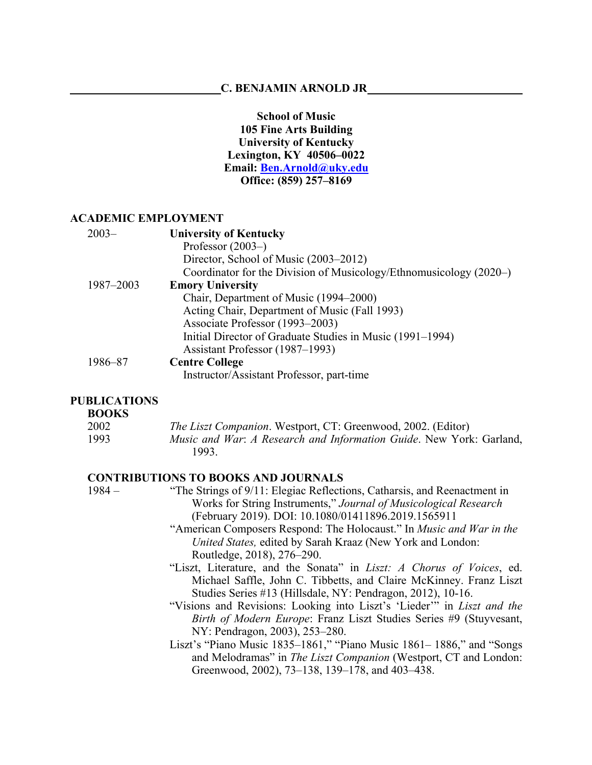## **C. BENJAMIN ARNOLD JR**

**School of Music 105 Fine Arts Building University of Kentucky Lexington, KY 40506–0022 Email: Ben.Arnold@uky.edu Office: (859) 257–8169**

#### **ACADEMIC EMPLOYMENT**

| $2003-$   | <b>University of Kentucky</b>                                      |
|-----------|--------------------------------------------------------------------|
|           | Professor $(2003-)$                                                |
|           | Director, School of Music (2003–2012)                              |
|           | Coordinator for the Division of Musicology/Ethnomusicology (2020–) |
| 1987-2003 | <b>Emory University</b>                                            |
|           | Chair, Department of Music (1994–2000)                             |
|           | Acting Chair, Department of Music (Fall 1993)                      |
|           | Associate Professor (1993–2003)                                    |
|           | Initial Director of Graduate Studies in Music (1991–1994)          |
|           | Assistant Professor (1987–1993)                                    |
| 1986–87   | <b>Centre College</b>                                              |
|           | Instructor/Assistant Professor, part-time                          |

#### **PUBLICATIONS**

## **BOOKS**

| 2002 | <i>The Liszt Companion.</i> Westport, CT: Greenwood, 2002. (Editor) |
|------|---------------------------------------------------------------------|
| 1993 | Music and War: A Research and Information Guide. New York: Garland, |
|      | 1993.                                                               |

# **CONTRIBUTIONS TO BOOKS AND JOURNALS**

| $1984 -$ | "The Strings of 9/11: Elegiac Reflections, Catharsis, and Reenactment in |
|----------|--------------------------------------------------------------------------|
|          | Works for String Instruments," Journal of Musicological Research         |
|          | (February 2019). DOI: 10.1080/01411896.2019.1565911                      |

- "American Composers Respond: The Holocaust." In *Music and War in the United States,* edited by Sarah Kraaz (New York and London: Routledge, 2018), 276–290.
- "Liszt, Literature, and the Sonata" in *Liszt: A Chorus of Voices*, ed. Michael Saffle, John C. Tibbetts, and Claire McKinney. Franz Liszt Studies Series #13 (Hillsdale, NY: Pendragon, 2012), 10-16.
- "Visions and Revisions: Looking into Liszt's 'Lieder'" in *Liszt and the Birth of Modern Europe*: Franz Liszt Studies Series #9 (Stuyvesant, NY: Pendragon, 2003), 253–280.
- Liszt's "Piano Music 1835–1861," "Piano Music 1861– 1886," and "Songs and Melodramas" in *The Liszt Companion* (Westport, CT and London: Greenwood, 2002), 73–138, 139–178, and 403–438.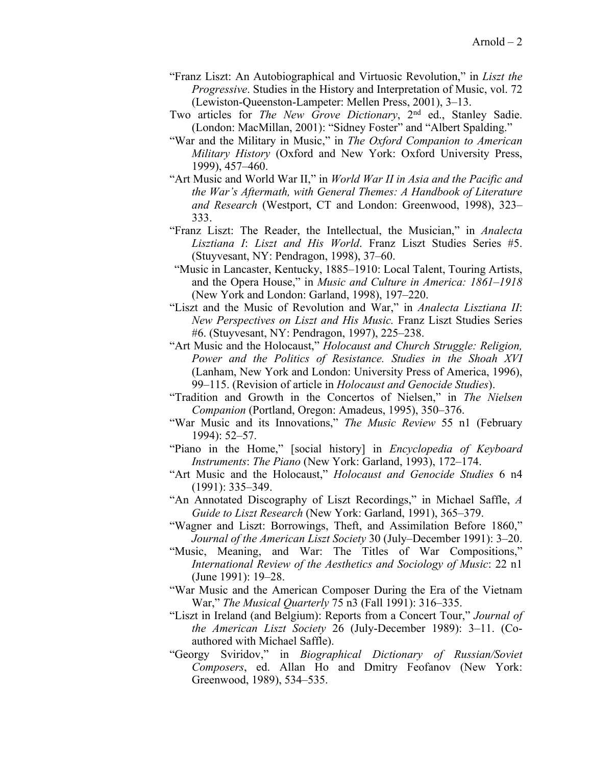- "Franz Liszt: An Autobiographical and Virtuosic Revolution," in *Liszt the Progressive*. Studies in the History and Interpretation of Music, vol. 72 (Lewiston-Queenston-Lampeter: Mellen Press, 2001), 3–13.
- Two articles for *The New Grove Dictionary*, 2nd ed., Stanley Sadie. (London: MacMillan, 2001): "Sidney Foster" and "Albert Spalding."
- "War and the Military in Music," in *The Oxford Companion to American Military History* (Oxford and New York: Oxford University Press, 1999), 457–460.
- "Art Music and World War II," in *World War II in Asia and the Pacific and the War's Aftermath, with General Themes: A Handbook of Literature and Research* (Westport, CT and London: Greenwood, 1998), 323– 333.
- "Franz Liszt: The Reader, the Intellectual, the Musician," in *Analecta Lisztiana I*: *Liszt and His World*. Franz Liszt Studies Series #5. (Stuyvesant, NY: Pendragon, 1998), 37–60.
- "Music in Lancaster, Kentucky, 1885–1910: Local Talent, Touring Artists, and the Opera House," in *Music and Culture in America: 1861–1918*  (New York and London: Garland, 1998), 197–220.
- "Liszt and the Music of Revolution and War," in *Analecta Lisztiana II*: *New Perspectives on Liszt and His Music.* Franz Liszt Studies Series #6. (Stuyvesant, NY: Pendragon, 1997), 225–238.
- "Art Music and the Holocaust," *Holocaust and Church Struggle: Religion, Power and the Politics of Resistance. Studies in the Shoah XVI* (Lanham, New York and London: University Press of America, 1996), 99–115. (Revision of article in *Holocaust and Genocide Studies*).
- "Tradition and Growth in the Concertos of Nielsen," in *The Nielsen Companion* (Portland, Oregon: Amadeus, 1995), 350–376.
- "War Music and its Innovations," *The Music Review* 55 n1 (February 1994): 52–57.
- "Piano in the Home," [social history] in *Encyclopedia of Keyboard Instruments*: *The Piano* (New York: Garland, 1993), 172–174.
- "Art Music and the Holocaust," *Holocaust and Genocide Studies* 6 n4 (1991): 335–349.
- "An Annotated Discography of Liszt Recordings," in Michael Saffle, *A Guide to Liszt Research* (New York: Garland, 1991), 365–379.
- "Wagner and Liszt: Borrowings, Theft, and Assimilation Before 1860," *Journal of the American Liszt Society* 30 (July–December 1991): 3–20.
- "Music, Meaning, and War: The Titles of War Compositions," *International Review of the Aesthetics and Sociology of Music*: 22 n1 (June 1991): 19–28.
- "War Music and the American Composer During the Era of the Vietnam War," *The Musical Quarterly* 75 n3 (Fall 1991): 316–335.
- "Liszt in Ireland (and Belgium): Reports from a Concert Tour," *Journal of the American Liszt Society* 26 (July-December 1989): 3–11. (Coauthored with Michael Saffle).
- "Georgy Sviridov," in *Biographical Dictionary of Russian/Soviet Composers*, ed. Allan Ho and Dmitry Feofanov (New York: Greenwood, 1989), 534–535.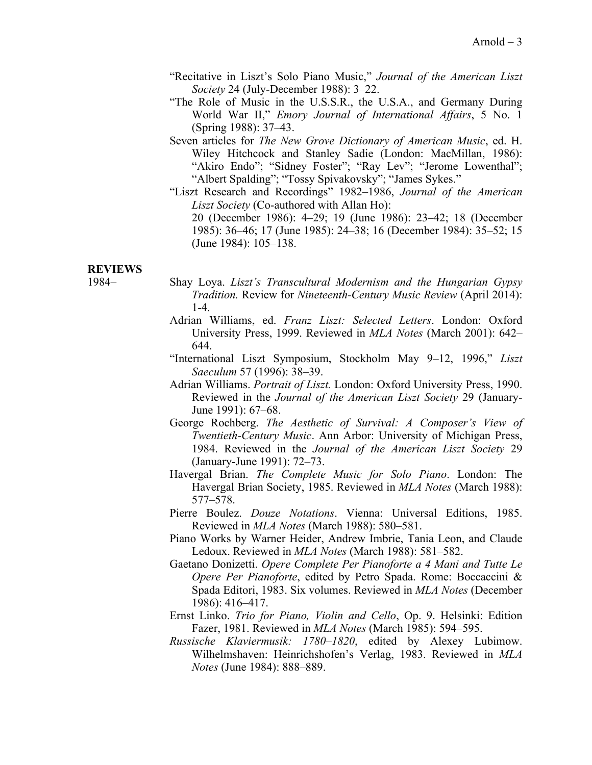- "Recitative in Liszt's Solo Piano Music," *Journal of the American Liszt Society* 24 (July-December 1988): 3–22.
- "The Role of Music in the U.S.S.R., the U.S.A., and Germany During World War II," *Emory Journal of International Affairs*, 5 No. 1 (Spring 1988): 37–43.
- Seven articles for *The New Grove Dictionary of American Music*, ed. H. Wiley Hitchcock and Stanley Sadie (London: MacMillan, 1986): "Akiro Endo"; "Sidney Foster"; "Ray Lev"; "Jerome Lowenthal"; "Albert Spalding"; "Tossy Spivakovsky"; "James Sykes."
- "Liszt Research and Recordings" 1982–1986, *Journal of the American Liszt Society* (Co-authored with Allan Ho): 20 (December 1986): 4–29; 19 (June 1986): 23–42; 18 (December

# 1985): 36–46; 17 (June 1985): 24–38; 16 (December 1984): 35–52; 15 (June 1984): 105–138.

#### **REVIEWS**

- 1984– Shay Loya. *Liszt's Transcultural Modernism and the Hungarian Gypsy Tradition.* Review for *Nineteenth-Century Music Review* (April 2014): 1-4.
	- Adrian Williams, ed. *Franz Liszt: Selected Letters*. London: Oxford University Press, 1999. Reviewed in *MLA Notes* (March 2001): 642– 644.
	- "International Liszt Symposium, Stockholm May 9–12, 1996," *Liszt Saeculum* 57 (1996): 38–39.
	- Adrian Williams. *Portrait of Liszt.* London: Oxford University Press, 1990. Reviewed in the *Journal of the American Liszt Society* 29 (January-June 1991): 67–68.
	- George Rochberg. *The Aesthetic of Survival: A Composer's View of Twentieth-Century Music*. Ann Arbor: University of Michigan Press, 1984. Reviewed in the *Journal of the American Liszt Society* 29 (January-June 1991): 72–73.
	- Havergal Brian. *The Complete Music for Solo Piano*. London: The Havergal Brian Society, 1985. Reviewed in *MLA Notes* (March 1988): 577–578.
	- Pierre Boulez. *Douze Notations*. Vienna: Universal Editions, 1985. Reviewed in *MLA Notes* (March 1988): 580–581.
	- Piano Works by Warner Heider, Andrew Imbrie, Tania Leon, and Claude Ledoux. Reviewed in *MLA Notes* (March 1988): 581–582.
	- Gaetano Donizetti. *Opere Complete Per Pianoforte a 4 Mani and Tutte Le Opere Per Pianoforte*, edited by Petro Spada. Rome: Boccaccini & Spada Editori, 1983. Six volumes. Reviewed in *MLA Notes* (December 1986): 416–417.
	- Ernst Linko. *Trio for Piano, Violin and Cello*, Op. 9. Helsinki: Edition Fazer, 1981. Reviewed in *MLA Notes* (March 1985): 594–595.
	- *Russische Klaviermusik: 1780–1820*, edited by Alexey Lubimow. Wilhelmshaven: Heinrichshofen's Verlag, 1983. Reviewed in *MLA Notes* (June 1984): 888–889.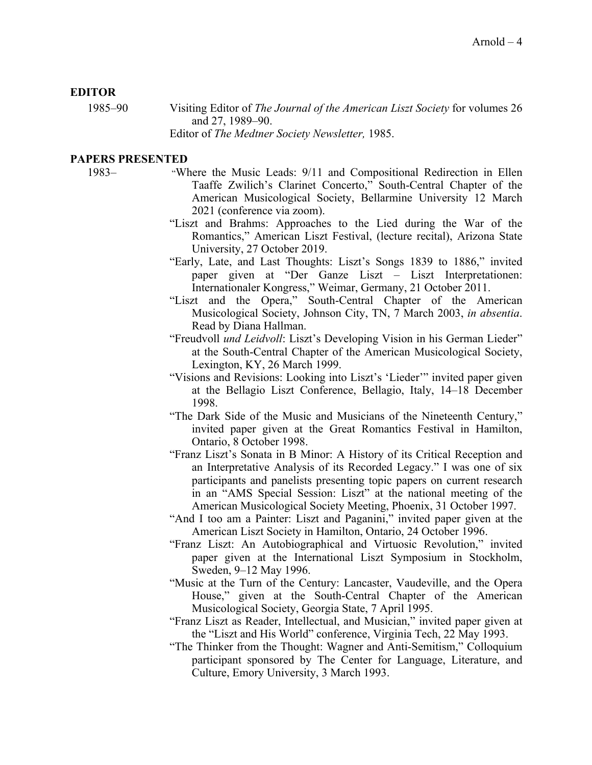#### **EDITOR**

1985–90 Visiting Editor of *The Journal of the American Liszt Society* for volumes 26 and 27, 1989–90. Editor of *The Medtner Society Newsletter,* 1985.

# **PAPERS PRESENTED**

- 1983– "Where the Music Leads: 9/11 and Compositional Redirection in Ellen Taaffe Zwilich's Clarinet Concerto," South-Central Chapter of the American Musicological Society, Bellarmine University 12 March 2021 (conference via zoom).
	- "Liszt and Brahms: Approaches to the Lied during the War of the Romantics," American Liszt Festival, (lecture recital), Arizona State University, 27 October 2019.
	- "Early, Late, and Last Thoughts: Liszt's Songs 1839 to 1886," invited paper given at "Der Ganze Liszt – Liszt Interpretationen: Internationaler Kongress," Weimar, Germany, 21 October 2011.
	- "Liszt and the Opera," South-Central Chapter of the American Musicological Society, Johnson City, TN, 7 March 2003, *in absentia*. Read by Diana Hallman.
	- "Freudvoll *und Leidvoll*: Liszt's Developing Vision in his German Lieder" at the South-Central Chapter of the American Musicological Society, Lexington, KY, 26 March 1999.
	- "Visions and Revisions: Looking into Liszt's 'Lieder'" invited paper given at the Bellagio Liszt Conference, Bellagio, Italy, 14–18 December 1998.
	- "The Dark Side of the Music and Musicians of the Nineteenth Century," invited paper given at the Great Romantics Festival in Hamilton, Ontario, 8 October 1998.
	- "Franz Liszt's Sonata in B Minor: A History of its Critical Reception and an Interpretative Analysis of its Recorded Legacy." I was one of six participants and panelists presenting topic papers on current research in an "AMS Special Session: Liszt" at the national meeting of the American Musicological Society Meeting, Phoenix, 31 October 1997.
	- "And I too am a Painter: Liszt and Paganini," invited paper given at the American Liszt Society in Hamilton, Ontario, 24 October 1996.
	- "Franz Liszt: An Autobiographical and Virtuosic Revolution," invited paper given at the International Liszt Symposium in Stockholm, Sweden, 9–12 May 1996.
	- "Music at the Turn of the Century: Lancaster, Vaudeville, and the Opera House," given at the South-Central Chapter of the American Musicological Society, Georgia State, 7 April 1995.
	- "Franz Liszt as Reader, Intellectual, and Musician," invited paper given at the "Liszt and His World" conference, Virginia Tech, 22 May 1993.
	- "The Thinker from the Thought: Wagner and Anti-Semitism," Colloquium participant sponsored by The Center for Language, Literature, and Culture, Emory University, 3 March 1993.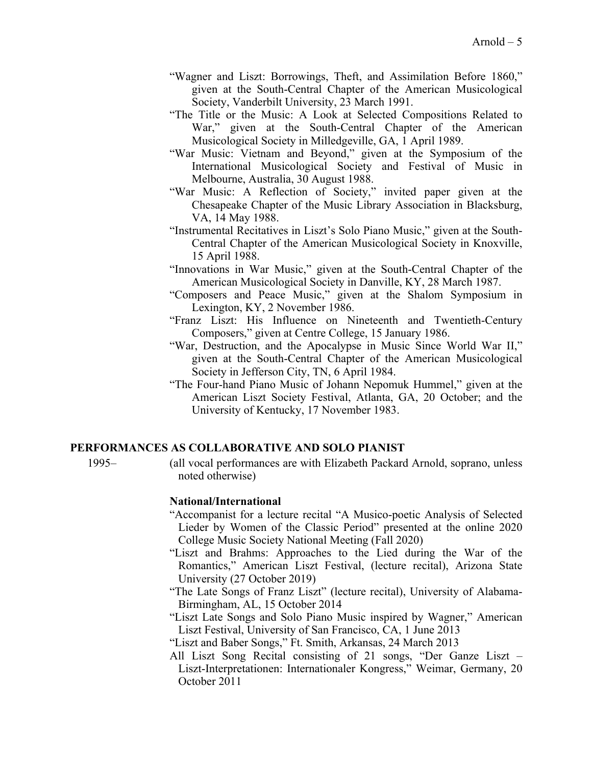- "Wagner and Liszt: Borrowings, Theft, and Assimilation Before 1860," given at the South-Central Chapter of the American Musicological Society, Vanderbilt University, 23 March 1991.
- "The Title or the Music: A Look at Selected Compositions Related to War," given at the South-Central Chapter of the American Musicological Society in Milledgeville, GA, 1 April 1989.
- "War Music: Vietnam and Beyond," given at the Symposium of the International Musicological Society and Festival of Music in Melbourne, Australia, 30 August 1988.
- "War Music: A Reflection of Society," invited paper given at the Chesapeake Chapter of the Music Library Association in Blacksburg, VA, 14 May 1988.
- "Instrumental Recitatives in Liszt's Solo Piano Music," given at the South-Central Chapter of the American Musicological Society in Knoxville, 15 April 1988.
- "Innovations in War Music," given at the South-Central Chapter of the American Musicological Society in Danville, KY, 28 March 1987.
- "Composers and Peace Music," given at the Shalom Symposium in Lexington, KY, 2 November 1986.
- "Franz Liszt: His Influence on Nineteenth and Twentieth-Century Composers," given at Centre College, 15 January 1986.
- "War, Destruction, and the Apocalypse in Music Since World War II," given at the South-Central Chapter of the American Musicological Society in Jefferson City, TN, 6 April 1984.
- "The Four-hand Piano Music of Johann Nepomuk Hummel," given at the American Liszt Society Festival, Atlanta, GA, 20 October; and the University of Kentucky, 17 November 1983.

# **PERFORMANCES AS COLLABORATIVE AND SOLO PIANIST**

- 
- 1995– (all vocal performances are with Elizabeth Packard Arnold, soprano, unless noted otherwise)

#### **National/International**

- "Accompanist for a lecture recital "A Musico-poetic Analysis of Selected Lieder by Women of the Classic Period" presented at the online 2020 College Music Society National Meeting (Fall 2020)
- "Liszt and Brahms: Approaches to the Lied during the War of the Romantics," American Liszt Festival, (lecture recital), Arizona State University (27 October 2019)
- "The Late Songs of Franz Liszt" (lecture recital), University of Alabama-Birmingham, AL, 15 October 2014
- "Liszt Late Songs and Solo Piano Music inspired by Wagner," American Liszt Festival, University of San Francisco, CA, 1 June 2013
- "Liszt and Baber Songs," Ft. Smith, Arkansas, 24 March 2013
- All Liszt Song Recital consisting of 21 songs, "Der Ganze Liszt Liszt‐Interpretationen: Internationaler Kongress," Weimar, Germany, 20 October 2011